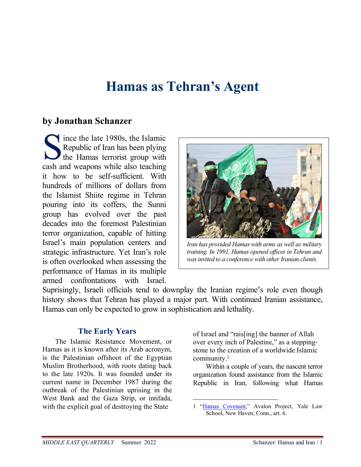# **Hamas as Tehran's Agent**

# **by Jonathan Schanzer**

Since the late 1980s, the Islamic<br>
Republic of Iran has been plying<br>
the Hamas terrorist group with<br>
cash and weapons while also teaching Republic of Iran has been plying **the Hamas terrorist group with** cash and weapons while also teaching it how to be self-sufficient. With hundreds of millions of dollars from the Islamist Shiite regime in Tehran pouring into its coffers, the Sunni group has evolved over the past decades into the foremost Palestinian terror organization, capable of hitting Israel's main population centers and strategic infrastructure. Yet Iran's role is often overlooked when assessing the performance of Hamas in its multiple armed confrontations with Israel.



*Iran has provided Hamas with arms as well as military training. In 1991, Hamas opened offices in Tehran and was invited to a conference with other Iranian clients.*

Suprisingly, Israeli officials tend to downplay the Iranian regime's role even though history shows that Tehran has played a major part. With continued Iranian assistance, Hamas can only be expected to grow in sophistication and lethality.

# **The Early Years**

The Islamic Resistance Movement, or Hamas as it is known after its Arab acronym, is the Palestinian offshoot of the Egyptian Muslim Brotherhood, with roots dating back to the late 1920s. It was founded under its current name in December 1987 during the outbreak of the Palestinian uprising in the West Bank and the Gaza Strip, or intifada, with the explicit goal of destroying the State

of Israel and "rais[ing] the banner of Allah over every inch of Palestine," as a steppingstone to the creation of a worldwide Islamic community.<sup>1</sup>

Within a couple of years, the nascent terror organization found assistance from the Islamic Republic in Iran, following what Hamas

<sup>1 &</sup>quot;Hamas Covenant," Avalon Project, Yale Law School, New Haven, Conn., art. 6.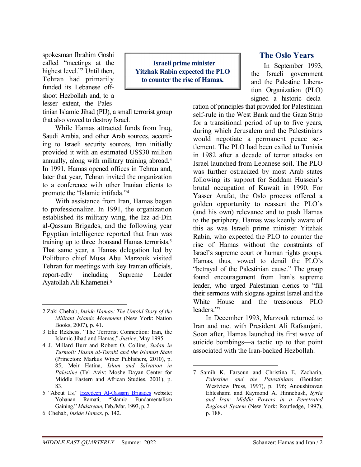spokesman Ibrahim Goshi called "meetings at the highest level."<sup>2</sup> Until then, Tehran had primarily funded its Lebanese offshoot Hezbollah and, to a lesser extent, the Pales-

tinian Islamic Jihad (PIJ), a small terrorist group that also vowed to destroy Israel.

While Hamas attracted funds from Iraq, Saudi Arabia, and other Arab sources, according to Israeli security sources, Iran initially provided it with an estimated US\$30 million annually, along with military training abroad.<sup>3</sup> In 1991, Hamas opened offices in Tehran and, later that year, Tehran invited the organization to a conference with other Iranian clients to promote the "Islamic intifada."<sup>4</sup>

With assistance from Iran, Hamas began to professionalize. In 1991, the organization established its military wing, the Izz ad-Din al-Qassam Brigades, and the following year Egyptian intelligence reported that Iran was training up to three thousand Hamas terrorists.<sup>5</sup> That same year, a Hamas delegation led by Politburo chief Musa Abu Marzouk visited Tehran for meetings with key Iranian officials, report-edly including Supreme Leader Ayatollah Ali Khamenei.<sup>6</sup>

 **Israeli prime minister Yitzhak Rabin expected the PLO to counter the rise of Hamas.** 

### **The Oslo Years**

In September 1993, the Israeli government and the Palestine Liberation Organization (PLO) signed a historic decla-

ration of principles that provided for Palestinian self-rule in the West Bank and the Gaza Strip for a transitional period of up to five years, during which Jerusalem and the Palestinians would negotiate a permanent peace settlement. The PLO had been exiled to Tunisia in 1982 after a decade of terror attacks on Israel launched from Lebanese soil. The PLO was further ostracized by most Arab states following its support for Saddam Hussein's brutal occupation of Kuwait in 1990. For Yasser Arafat, the Oslo process offered a golden opportunity to reassert the PLO's (and his own) relevance and to push Hamas to the periphery. Hamas was keenly aware of this as was Israeli prime minister Yitzhak Rabin, who expected the PLO to counter the rise of Hamas without the constraints of Israel's supreme court or human rights groups. Hamas, thus, vowed to derail the PLO's "betrayal of the Palestinian cause." The group found encouragement from Iran's supreme leader, who urged Palestinian clerics to "fill their sermons with slogans against Israel and the White House and the treasonous PLO leaders."<sup>7</sup>

In December 1993, Marzouk returned to Iran and met with President Ali Rafsanjani. Soon after, Hamas launched its first wave of suicide bombings—a tactic up to that point associated with the Iran-backed Hezbollah.

<sup>2</sup> Zaki Chehab, *Inside Hamas: The Untold Story of the Militant Islamic Movement* (New York: Nation Books, 2007), p. 41.

<sup>3</sup> Elie Rekhess, "The Terrorist Connection: Iran, the Islamic Jihad and Hamas," *Justice*, May 1995.

<sup>4</sup> J. Millard Burr and Robert O. Collins, *Sudan in Turmoil: Hasan al-Turabi and the Islamist State* (Princeton: Markus Winer Publishers, 2010), p. 85; Meir Hatina, *Islam and Salvation in Palestine* (Tel Aviv: Moshe Dayan Center for Middle Eastern and African Studies, 2001), p. 83.

<sup>5 &</sup>quot;About Us," Ezzedeen Al-Qassam Brigades website; Yohanan Ramati, "Islamic Fundamentalism Gaining," *Midstream*, Feb./Mar. 1993, p. 2.

<sup>6</sup> Chehab, *Inside Hamas*, p. 142.

<sup>7</sup> Samih K. Farsoun and Christina E. Zacharia, *Palestine and the Palestinians* (Boulder: Westview Press, 1997), p. 196; Anoushiravan Ehteshami and Raymond A. Hinnebush, *Syria and Iran: Middle Powers in a Penetrated Regional System* (New York: Routledge, 1997), p. 188.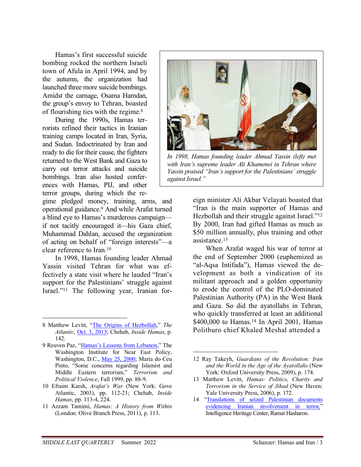Hamas's first successful suicide bombing rocked the northern Israeli town of Afula in April 1994, and by the autumn, the organization had launched three more suicide bombings. Amidst the carnage, Osama Hamdan, the group's envoy to Tehran, boasted of flourishing ties with the regime.<sup>8</sup>

During the 1990s, Hamas terrorists refined their tactics in Iranian training camps located in Iran, Syria, and Sudan. Indoctrinated by Iran and ready to die for their cause, the fighters returned to the West Bank and Gaza to carry out terror attacks and suicide bombings. Iran also hosted conferences with Hamas, PIJ, and other terror groups, during which the re-

gime pledged money, training, arms, and operational guidance.<sup>9</sup> And while Arafat turned a blind eye to Hamas's murderous campaign if not tacitly encouraged it—his Gaza chief, Muhammad Dahlan, accused the organization of acting on behalf of "foreign interests"—a clear reference to Iran.<sup>10</sup>

In 1998, Hamas founding leader Ahmad Yassin visited Tehran for what was effectively a state visit where he lauded "Iran's support for the Palestinians' struggle against Israel."11 The following year, Iranian for-

- 10 Efraim Karsh, *Arafat's War* (New York: Gove Atlantic, 2003), pp. 112-21; Chehab, *Inside Hamas*, pp. 113-4, 224.
- 11 Azzam Tamimi, *Hamas: A History from Within* (London: Olive Branch Press, 2011), p. 113.



*In 1998, Hamas founding leader Ahmad Yassin (left) met with Iran's supreme leader Ali Khamenei in Tehran where Yassin praised "Iran's support for the Palestinians' struggle against Israel."*

eign minister Ali Akbar Velayati boasted that "Iran is the main supporter of Hamas and Hezbollah and their struggle against Israel."<sup>12</sup> By 2000, Iran had gifted Hamas as much as \$50 million annually, plus training and other assistance.<sup>13</sup>

When Arafat waged his war of terror at the end of September 2000 (euphemized as "al-Aqsa Intifada"), Hamas viewed the development as both a vindication of its militant approach and a golden opportunity to erode the control of the PLO-dominated Palestinian Authority (PA) in the West Bank and Gaza. So did the ayatollahs in Tehran, who quickly transferred at least an additional \$400,000 to Hamas.<sup>14</sup> In April 2001, Hamas Politburo chief Khaled Meshal attended a

<sup>8</sup> Matthew Levitt, "The Origins of Hezbollah," *The Atlantic*, Oct. 3, 2013; Chehab, *Inside Hamas*, p. 142.

<sup>9</sup> Reuven Paz, "Hamas's Lessons from Lebanon," The Washington Institute for Near East Policy, Washington, D.C., May 25, 2000; Maria do Ceu Pinto, "Some concerns regarding Islamist and Middle Eastern terrorism," *Terrorism and Political Violence*, Fall 1999, pp. 88-9.

<sup>12</sup> Ray Takeyh, *Guardians of the Revolution: Iran and the World in the Age of the Ayatollahs* (New York: Oxford University Press, 2009), p. 174.

<sup>13</sup> Matthew Levitt, *Hamas: Politics, Charity and Terrorism in the Service of Jihad* (New Haven: Yale University Press, 2006), p. 172.

<sup>14 &</sup>quot;Translations of seized Palestinian documents evidencing Iranian involvement in terror," Intelligence Heritage Center, Ramat Hasharon.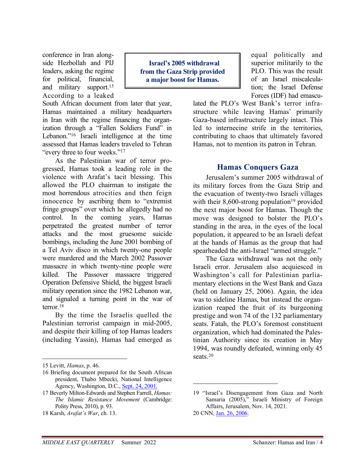conference in Iran alongside Hezbollah and PIJ leaders, asking the regime for political, financial, and military support.<sup>15</sup> According to a leaked

South African document from later that year, Hamas maintained a military headquarters in Iran with the regime financing the organization through a "Fallen Soldiers Fund" in Lebanon."16 Israeli intelligence at the time assessed that Hamas leaders traveled to Tehran "every three to four weeks."<sup>17</sup>

As the Palestinian war of terror progressed, Hamas took a leading role in the violence with Arafat's tacit blessing. This allowed the PLO chairman to instigate the most horrendous atrocities and then feign innocence by ascribing them to "extremist fringe groups" over which he allegedly had no control. In the coming years, Hamas perpetrated the greatest number of terror attacks and the most gruesome suicide bombings, including the June 2001 bombing of a Tel Aviv disco in which twenty-one people were murdered and the March 2002 Passover massacre in which twenty-nine people were killed. The Passover massacre triggered Operation Defensive Shield, the biggest Israeli military operation since the 1982 Lebanon war, and signaled a turning point in the war of terror.<sup>18</sup>

By the time the Israelis quelled the Palestinian terrorist campaign in mid-2005, and despite their killing of top Hamas leaders (including Yassin), Hamas had emerged as

 **Israel's 2005 withdrawal from the Gaza Strip provided a major boost for Hamas.** 

equal politically and superior militarily to the PLO. This was the result of an Israel miscalculation; the Israel Defense Forces (IDF) had emascu-

lated the PLO's West Bank's terror infrastructure while leaving Hamas' primarily Gaza-based infrastructure largely intact. This led to internecine strife in the territories, contributing to chaos that ultimately favored Hamas, not to mention its patron in Tehran.

## **Hamas Conquers Gaza**

Jerusalem's summer 2005 withdrawal of its military forces from the Gaza Strip and the evacuation of twenty-two Israeli villages with their 8,600-strong population<sup>19</sup> provided the next major boost for Hamas. Though the move was designed to bolster the PLO's standing in the area, in the eyes of the local population, it appeared to be an Israeli defeat at the hands of Hamas as the group that had spearheaded the anti-Israel "armed struggle."

The Gaza withdrawal was not the only Israeli error. Jerusalem also acquiesced in Washington's call for Palestinian parliamentary elections in the West Bank and Gaza (held on January 25, 2006). Again, the idea was to sideline Hamas, but instead the organization reaped the fruit of its burgeoning prestige and won 74 of the 132 parliamentary seats. Fatah, the PLO's foremost constituent organization, which had dominated the Palestinian Authority since its creation in May 1994, was roundly defeated, winning only 45 seats.<sup>20</sup>

<sup>15</sup> Levitt, *Hamas*, p. 46.

<sup>16</sup> Briefing document prepared for the South African president, Thabo Mbecki, National Intelligence Agency, Washington, D.C., Sept. 24, 2001.

<sup>17</sup> Beverly Milton-Edwards and Stephen Farrell, *Hamas: The Islamic Resistance Movement* (Cambridge: Polity Press, 2010), p. 93.

<sup>18</sup> Karsh, *Arafat's War*, ch. 13.

<sup>19 &</sup>quot;Israel's Disengagement from Gaza and North Samaria (2005)," Israeli Ministry of Foreign Affairs, Jerusalem, Nov. 14, 2021.

<sup>20</sup> CNN, Jan. 26, 2006.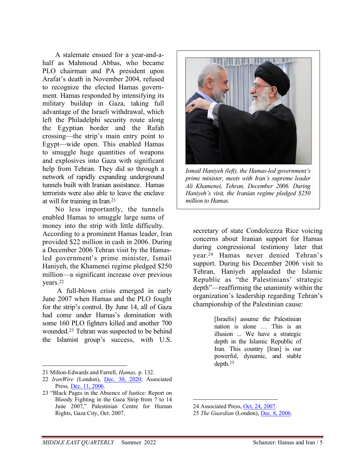A stalemate ensued for a year-and-ahalf as Mahmoud Abbas, who became PLO chairman and PA president upon Arafat's death in November 2004, refused to recognize the elected Hamas government. Hamas responded by intensifying its military buildup in Gaza, taking full advantage of the Israeli withdrawal, which left the Philadelphi security route along the Egyptian border and the Rafah crossing—the strip's main entry point to Egypt—wide open. This enabled Hamas to smuggle huge quantities of weapons and explosives into Gaza with significant help from Tehran. They did so through a network of rapidly expanding underground tunnels built with Iranian assistance. Hamas terrorists were also able to leave the enclave at will for training in Iran.<sup>21</sup>

No less importantly, the tunnels enabled Hamas to smuggle large sums of money into the strip with little difficulty. According to a prominent Hamas leader, Iran provided \$22 million in cash in 2006. During a December 2006 Tehran visit by the Hamasled government's prime minister, Ismail Haniyeh, the Khamenei regime pledged \$250 million—a significant increase over previous years.<sup>22</sup>

 A full-blown crisis emerged in early June 2007 when Hamas and the PLO fought for the strip's control. By June 14, all of Gaza had come under Hamas's domination with some 160 PLO fighters killed and another 700 wounded.23 Tehran was suspected to be behind the Islamist group's success, with U.S.



*Ismail Haniyeh (left), the Hamas-led government's prime minister, meets with Iran's supreme leader Ali Khamenei, Tehran, December 2006. During Haniyeh's visit, the Iranian regime pledged \$250 million to Hamas.*

secretary of state Condoleezza Rice voicing concerns about Iranian support for Hamas during congressional testimony later that year.24 Hamas never denied Tehran's support. During his December 2006 visit to Tehran, Haniyeh applauded the Islamic Republic as "the Palestinians' strategic depth"—reaffirming the unanimity within the organization's leadership regarding Tehran's championship of the Palestinian cause:

> [Israelis] assume the Palestinian nation is alone … This is an illusion ... We have a strategic depth in the Islamic Republic of Iran. This country [Iran] is our powerful, dynamic, and stable depth.<sup>25</sup>

<sup>21</sup> Milton-Edwards and Farrell, *Hamas,* p. 132.

<sup>22</sup> *IranWire* (London), Dec. 30, 2020; Associated Press*,* Dec. 11, 2006.

<sup>23 &</sup>quot;Black Pages in the Absence of Justice: Report on Bloody Fighting in the Gaza Strip from 7 to 14 June 2007," Palestinian Centre for Human Rights, Gaza City, Oct. 2007.

<sup>24</sup> Associated Press, Oct. 24, 2007.

<sup>25</sup> *The Guardian* (London), Dec. 8, 2006.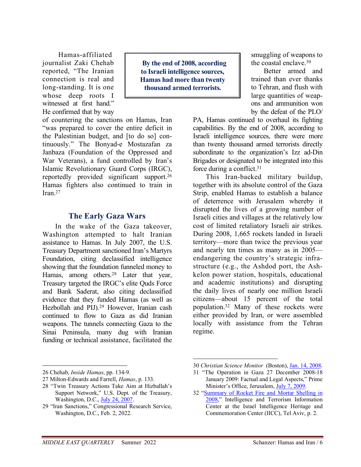Hamas-affiliated journalist Zaki Chehab reported, "The Iranian connection is real and long-standing. It is one whose deep roots I witnessed at first hand." He confirmed that by way

 **By the end of 2008, according to Israeli intelligence sources, Hamas had more than twenty thousand armed terrorists.** 

of countering the sanctions on Hamas, Iran "was prepared to cover the entire deficit in the Palestinian budget, and [to do so] continuously." The Bonyad-e Mostazafan za Janbaza (Foundation of the Oppressed and War Veterans), a fund controlled by Iran's Islamic Revolutionary Guard Corps (IRGC), reportedly provided significant support.<sup>26</sup> Hamas fighters also continued to train in Iran.<sup>27</sup>

## **The Early Gaza Wars**

In the wake of the Gaza takeover, Washington attempted to halt Iranian assistance to Hamas. In July 2007, the U.S. Treasury Department sanctioned Iran's Martyrs Foundation, citing declassified intelligence showing that the foundation funneled money to Hamas, among others.28 Later that year, Treasury targeted the IRGC's elite Quds Force and Bank Saderat, also citing declassified evidence that they funded Hamas (as well as Hezbollah and PIJ).<sup>29</sup> However, Iranian cash continued to flow to Gaza as did Iranian weapons. The tunnels connecting Gaza to the Sinai Peninsula, many dug with Iranian funding or technical assistance, facilitated the smuggling of weapons to the coastal enclave.<sup>30</sup>

Better armed and trained than ever thanks to Tehran, and flush with large quantities of weapons and ammunition won by the defeat of the PLO/

PA, Hamas continued to overhaul its fighting capabilities. By the end of 2008, according to Israeli intelligence sources, there were more than twenty thousand armed terrorists directly subordinate to the organization's Izz ad-Din Brigades or designated to be integrated into this force during a conflict.<sup>31</sup>

This Iran-backed military buildup, together with its absolute control of the Gaza Strip, enabled Hamas to establish a balance of deterrence with Jerusalem whereby it disrupted the lives of a growing number of Israeli cities and villages at the relatively low cost of limited retaliatory Israeli air strikes. During 2008, 1,665 rockets landed in Israeli territory—more than twice the previous year and nearly ten times as many as in 2005 endangering the country's strategic infrastructure (e.g., the Ashdod port, the Ashkelon power station, hospitals, educational and academic institutions) and disrupting the daily lives of nearly one million Israeli citizens—about 15 percent of the total population.32 Many of these rockets were either provided by Iran, or were assembled locally with assistance from the Tehran regime.

<sup>26</sup> Chehab, *Inside Hamas*, pp. 134-9.

<sup>27</sup> Milton-Edwards and Farrell, *Hamas*, p. 133.

<sup>28 &</sup>quot;Twin Treasury Actions Take Aim at Hizballah's Support Network," U.S. Dept. of the Treasury, Washington, D.C., July 24, 2007.

<sup>29 &</sup>quot;Iran Sanctions," Congressional Research Service, Washington, D.C., Feb. 2, 2022.

<sup>30</sup> *Christian Science Monitor* (Boston), Jan. 14, 2008.

<sup>31 &</sup>quot;The Operation in Gaza 27 December 2008-18 January 2009: Factual and Legal Aspects," Prime Minister's Office, Jerusalem, July 7, 2009.

<sup>32 &</sup>quot;Summary of Rocket Fire and Mortar Shelling in 2008," Intelligence and Terrorism Information Center at the Israel Intelligence Heritage and Commemoration Center (IICC), Tel Aviv, p. 2.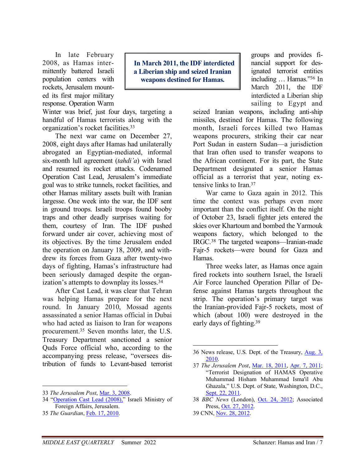In late February 2008, as Hamas intermittently battered Israeli population centers with rockets, Jerusalem mounted its first major military response. Operation Warm

Winter was brief, just four days, targeting a handful of Hamas terrorists along with the organization's rocket facilities.<sup>33</sup>

The next war came on December 27, 2008, eight days after Hamas had unilaterally abrogated an Egyptian-mediated, informal six-month lull agreement (*tahdi'a*) with Israel and resumed its rocket attacks. Codenamed Operation Cast Lead, Jerusalem's immediate goal was to strike tunnels, rocket facilities, and other Hamas military assets built with Iranian largesse. One week into the war, the IDF sent in ground troops. Israeli troops found booby traps and other deadly surprises waiting for them, courtesy of Iran. The IDF pushed forward under air cover, achieving most of its objectives. By the time Jerusalem ended the operation on January 18, 2009, and withdrew its forces from Gaza after twenty-two days of fighting, Hamas's infrastructure had been seriously damaged despite the organization's attempts to downplay its losses.<sup>34</sup>

After Cast Lead, it was clear that Tehran was helping Hamas prepare for the next round. In January 2010, Mossad agents assassinated a senior Hamas official in Dubai who had acted as liaison to Iran for weapons procurement.35 Seven months later, the U.S. Treasury Department sanctioned a senior Quds Force official who, according to the accompanying press release, "oversees distribution of funds to Levant-based terrorist

33 *The Jerusalem Post*, Mar. 3, 2008.

 **In March 2011, the IDF interdicted a Liberian ship and seized Iranian weapons destined for Hamas.** 

groups and provides financial support for designated terrorist entities including … Hamas."<sup>36</sup> In March 2011, the IDF interdicted a Liberian ship sailing to Egypt and

seized Iranian weapons, including anti-ship missiles, destined for Hamas. The following month, Israeli forces killed two Hamas weapons procurers, striking their car near Port Sudan in eastern Sudan—a jurisdiction that Iran often used to transfer weapons to the African continent. For its part, the State Department designated a senior Hamas official as a terrorist that year, noting extensive links to Iran.<sup>37</sup>

War came to Gaza again in 2012. This time the context was perhaps even more important than the conflict itself. On the night of October 23, Israeli fighter jets entered the skies over Khartoum and bombed the Yarmouk weapons factory, which belonged to the IRGC.38 The targeted weapons—Iranian-made Fajr-5 rockets—were bound for Gaza and Hamas.

Three weeks later, as Hamas once again fired rockets into southern Israel, the Israeli Air Force launched Operation Pillar of Defense against Hamas targets throughout the strip. The operation's primary target was the Iranian-provided Fajr-5 rockets, most of which (about 100) were destroyed in the early days of fighting.<sup>39</sup>

<sup>34 &</sup>quot;Operation Cast Lead (2008)," Israeli Ministry of Foreign Affairs, Jerusalem.

<sup>35</sup> *The Guardian*, Feb. 17, 2010.

<sup>36</sup> News release, U.S. Dept. of the Treasury, Aug. 3, 2010.

<sup>37</sup> *The Jerusalem Post*, Mar. 18, 2011, Apr. 7, 2011; "Terrorist Designation of HAMAS Operative Muhammad Hisham Muhammad Isma'il Abu Ghazala," U.S. Dept. of State, Washington, D.C., Sept. 22, 2011.

<sup>38</sup> *BBC News* (London), Oct. 24, 2012; Associated Press, Oct. 27, 2012.

<sup>39</sup> CNN, Nov. 28, 2012.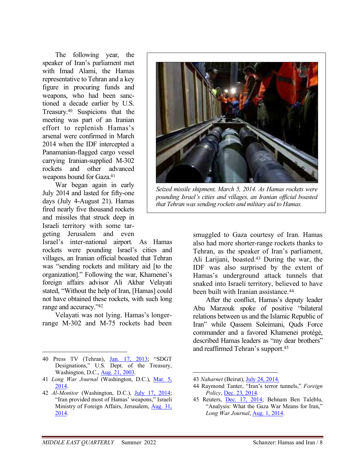The following year, the speaker of Iran's parliament met with Imad Alami, the Hamas representative to Tehran and a key figure in procuring funds and weapons, who had been sanctioned a decade earlier by U.S. Treasury.40 Suspicions that the meeting was part of an Iranian effort to replenish Hamas's arsenal were confirmed in March 2014 when the IDF intercepted a Panamanian-flagged cargo vessel carrying Iranian-supplied M-302 rockets and other advanced weapons bound for Gaza.<sup>41</sup>

War began again in early July 2014 and lasted for fifty-one days (July 4-August 21). Hamas fired nearly five thousand rockets and missiles that struck deep in Israeli territory with some targeting Jerusalem and even

Israel's inter-national airport. As Hamas rockets were pounding Israel's cities and villages, an Iranian official boasted that Tehran was "sending rockets and military aid [to the organization]." Following the war, Khamenei's foreign affairs advisor Ali Akbar Velayati stated, "Without the help of Iran, [Hamas] could not have obtained these rockets, with such long range and accuracy."<sup>42</sup>

Velayati was not lying. Hamas's longerrange M-302 and M-75 rockets had been

- 40 Press TV (Tehran), Jan. 17, 2013; "SDGT Designations," U.S. Dept. of the Treasury, Washington, D.C., Aug. 21, 2003.
- 41 *Long War Journal* (Washington, D.C.), Mar. 5, 2014.
- 42 *Al-Monitor* (Washington, D.C.), July 17, 2014; "Iran provided most of Hamas' weapons," Israeli Ministry of Foreign Affairs, Jerusalem, Aug. 31, 2014.



*Seized missile shipment, March 5, 2014. As Hamas rockets were pounding Israel's cities and villages, an Iranian official boasted that Tehran was sending rockets and military aid to Hamas.*

smuggled to Gaza courtesy of Iran. Hamas also had more shorter-range rockets thanks to Tehran, as the speaker of Iran's parliament, Ali Larijani, boasted.43 During the war, the IDF was also surprised by the extent of Hamas's underground attack tunnels that snaked into Israeli territory, believed to have been built with Iranian assistance.<sup>44</sup>

After the conflict, Hamas's deputy leader Abu Marzouk spoke of positive "bilateral relations between us and the Islamic Republic of Iran" while Qassem Soleimani, Quds Force commander and a favored Khamenei protégé, described Hamas leaders as "my dear brothers" and reaffirmed Tehran's support.<sup>45</sup>

<sup>43</sup> *Naharnet* (Beirut), July 24, 2014.

<sup>44</sup> Raymond Tanter, "Iran's terror tunnels," *Foreign Policy*, Dec. 23, 2014.

<sup>45</sup> Reuters, Dec. 17, 2014; Behnam Ben Taleblu, "Analysis: What the Gaza War Means for Iran," *Long War Journal*, Aug. 1, 2014.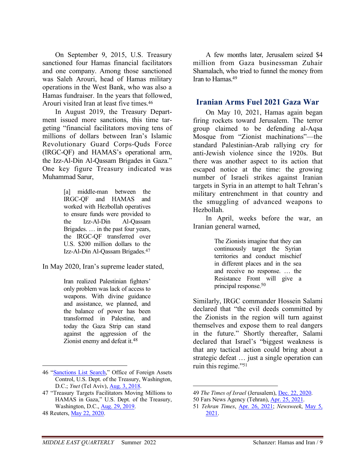On September 9, 2015, U.S. Treasury sanctioned four Hamas financial facilitators and one company. Among those sanctioned was Saleh Arouri, head of Hamas military operations in the West Bank, who was also a Hamas fundraiser. In the years that followed, Arouri visited Iran at least five times.<sup>46</sup>

In August 2019, the Treasury Department issued more sanctions, this time targeting "financial facilitators moving tens of millions of dollars between Iran's Islamic Revolutionary Guard Corps-Quds Force (IRGC-QF) and HAMAS's operational arm, the Izz-Al-Din Al-Qassam Brigades in Gaza." One key figure Treasury indicated was Muhammad Sarur,

> [a] middle-man between the IRGC-QF and HAMAS and worked with Hezbollah operatives to ensure funds were provided to the Izz-Al-Din Al-Qassam Brigades. … in the past four years, the IRGC-QF transferred over U.S. \$200 million dollars to the Izz-Al-Din Al-Qassam Brigades.<sup>47</sup>

In May 2020, Iran's supreme leader stated,

Iran realized Palestinian fighters' only problem was lack of access to weapons. With divine guidance and assistance, we planned, and the balance of power has been transformed in Palestine, and today the Gaza Strip can stand against the aggression of the Zionist enemy and defeat it.<sup>48</sup>

A few months later, Jerusalem seized \$4 million from Gaza businessman Zuhair Shamalach, who tried to funnel the money from Iran to Hamas.<sup>49</sup>

#### **Iranian Arms Fuel 2021 Gaza War**

On May 10, 2021, Hamas again began firing rockets toward Jerusalem. The terror group claimed to be defending al-Aqsa Mosque from "Zionist machinations"—the standard Palestinian-Arab rallying cry for anti-Jewish violence since the 1920s. But there was another aspect to its action that escaped notice at the time: the growing number of Israeli strikes against Iranian targets in Syria in an attempt to halt Tehran's military entrenchment in that country and the smuggling of advanced weapons to Hezbollah.

In April, weeks before the war, an Iranian general warned,

> The Zionists imagine that they can continuously target the Syrian territories and conduct mischief in different places and in the sea and receive no response. … the Resistance Front will give a principal response.<sup>50</sup>

Similarly, IRGC commander Hossein Salami declared that "the evil deeds committed by the Zionists in the region will turn against themselves and expose them to real dangers in the future." Shortly thereafter, Salami declared that Israel's "biggest weakness is that any tactical action could bring about a strategic defeat … just a single operation can ruin this regime."<sup>51</sup>

<sup>46 &</sup>quot;Sanctions List Search," Office of Foreign Assets Control, U.S. Dept. of the Treasury, Washington, D.C.; *Ynet* (Tel Aviv), Aug. 3, 2018.

<sup>47 &</sup>quot;Treasury Targets Facilitators Moving Millions to HAMAS in Gaza," U.S. Dept. of the Treasury, Washington, D.C., Aug. 29, 2019.

<sup>48</sup> Reuters, May 22, 2020.

<sup>49</sup> *The Times of Israel* (Jerusalem), Dec. 22, 2020.

<sup>50</sup> Fars News Agency (Tehran), Apr. 25, 2021.

<sup>51</sup> *Tehran Times*, Apr. 26, 2021; *Newsweek*, May 5, 2021.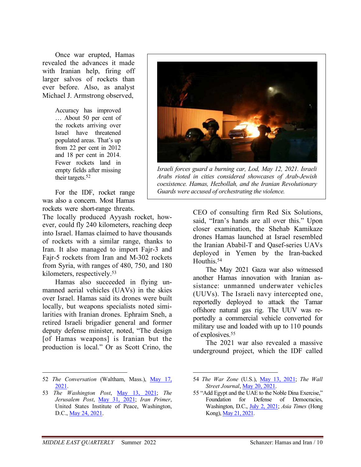Once war erupted, Hamas revealed the advances it made with Iranian help, firing off larger salvos of rockets than ever before. Also, as analyst Michael J. Armstrong observed,

> Accuracy has improved … About 50 per cent of the rockets arriving over Israel have threatened populated areas. That's up from 22 per cent in 2012 and 18 per cent in 2014. Fewer rockets land in empty fields after missing their targets.<sup>52</sup>

For the IDF, rocket range was also a concern. Most Hamas rockets were short-range threats.

The locally produced Ayyash rocket, however, could fly 240 kilometers, reaching deep into Israel. Hamas claimed to have thousands of rockets with a similar range, thanks to Iran. It also managed to import Fajr-3 and Fajr-5 rockets from Iran and M-302 rockets from Syria, with ranges of 480, 750, and 180 kilometers, respectively.<sup>53</sup>

Hamas also succeeded in flying unmanned aerial vehicles (UAVs) in the skies over Israel. Hamas said its drones were built locally, but weapons specialists noted similarities with Iranian drones. Ephraim Sneh, a retired Israeli brigadier general and former deputy defense minister, noted, "The design [of Hamas weapons] is Iranian but the production is local." Or as Scott Crino, the



*Israeli forces guard a burning car, Lod, May 12, 2021. Israeli Arabs rioted in cities considered showcases of Arab-Jewish coexistence. Hamas, Hezbollah, and the Iranian Revolutionary Guards were accused of orchestrating the violence.*

CEO of consulting firm Red Six Solutions, said, "Iran's hands are all over this." Upon closer examination, the Shehab Kamikaze drones Hamas launched at Israel resembled the Iranian Ababil-T and Qasef-series UAVs deployed in Yemen by the Iran-backed Houthis.<sup>54</sup>

The May 2021 Gaza war also witnessed another Hamas innovation with Iranian assistance: unmanned underwater vehicles (UUVs). The Israeli navy intercepted one, reportedly deployed to attack the Tamar offshore natural gas rig. The UUV was reportedly a commercial vehicle converted for military use and loaded with up to 110 pounds of explosives.<sup>55</sup>

The 2021 war also revealed a massive underground project, which the IDF called

<sup>52</sup> *The Conversation* (Waltham, Mass.), May 17, 2021.

<sup>53</sup> *The Washington Post*, May 13, 2021; *The Jerusalem Post*, May 31, 2021; *Iran Primer*, United States Institute of Peace, Washington, D.C., May 24, 2021.

<sup>54</sup> *The War Zone* (U.S.), May 13, 2021; *The Wall Street Journal*, May 20, 2021.

<sup>55 &</sup>quot;Add Egypt and the UAE to the Noble Dina Exercise," Foundation for Defense of Democracies, Washington, D.C., July 2, 2021; *Asia Times* (Hong Kong), May 21, 2021.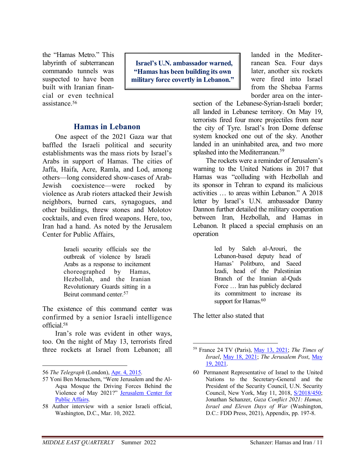the "Hamas Metro." This labyrinth of subterranean commando tunnels was suspected to have been built with Iranian financial or even technical assistance.<sup>56</sup>

 **Israel's U.N. ambassador warned, "Hamas has been building its own military force covertly in Lebanon."** 

#### **Hamas in Lebanon**

One aspect of the 2021 Gaza war that baffled the Israeli political and security establishments was the mass riots by Israel's Arabs in support of Hamas. The cities of Jaffa, Haifa, Acre, Ramla, and Lod, among others—long considered show-cases of Arab-Jewish coexistence—were rocked by violence as Arab rioters attacked their Jewish neighbors, burned cars, synagogues, and other buildings, threw stones and Molotov cocktails, and even fired weapons. Here, too, Iran had a hand. As noted by the Jerusalem Center for Public Affairs,

> Israeli security officials see the outbreak of violence by Israeli Arabs as a response to incitement choreographed by Hamas, Hezbollah, and the Iranian Revolutionary Guards sitting in a Beirut command center.<sup>57</sup>

The existence of this command center was confirmed by a senior Israeli intelligence official.<sup>58</sup>

Iran's role was evident in other ways, too. On the night of May 13, terrorists fired three rockets at Israel from Lebanon; all landed in the Mediterranean Sea. Four days later, another six rockets were fired into Israel from the Shebaa Farms border area on the inter-

section of the Lebanese-Syrian-Israeli border; all landed in Lebanese territory. On May 19, terrorists fired four more projectiles from near the city of Tyre. Israel's Iron Dome defense system knocked one out of the sky. Another landed in an uninhabited area, and two more splashed into the Mediterranean.<sup>59</sup>

The rockets were a reminder of Jerusalem's warning to the United Nations in 2017 that Hamas was "colluding with Hezbollah and its sponsor in Tehran to expand its malicious activities … to areas within Lebanon." A 2018 letter by Israel's U.N. ambassador Danny Dannon further detailed the military cooperation between Iran, Hezbollah, and Hamas in Lebanon. It placed a special emphasis on an operation

> led by Saleh al-Arouri, the Lebanon-based deputy head of Hamas' Politburo, and Saeed Izadi, head of the Palestinian Branch of the Iranian al-Quds Force … Iran has publicly declared its commitment to increase its support for Hamas.<sup>60</sup>

The letter also stated that

<sup>56</sup> *The Telegraph* (London), Apr. 4, 2015.

<sup>57</sup> Yoni Ben Menachem, "Were Jerusalem and the Al-Aqsa Mosque the Driving Forces Behind the Violence of May 2021?" Jerusalem Center for Public Affairs.

<sup>58</sup> Author interview with a senior Israeli official, Washington, D.C., Mar. 10, 2022.

<sup>59</sup> France 24 TV (Paris), May 13, 2021; *The Times of Israel*, May 18, 2021; *The Jerusalem Post*, May 19, 2021.

<sup>60</sup> Permanent Representative of Israel to the United Nations to the Secretary-General and the President of the Security Council, U.N. Security Council, New York, May 11, 2018, S/2018/450; Jonathan Schanzer, *Gaza Conflict 2021: Hamas, Israel and Eleven Days of War* (Washington, D.C.: FDD Press, 2021), Appendix, pp. 197-8.